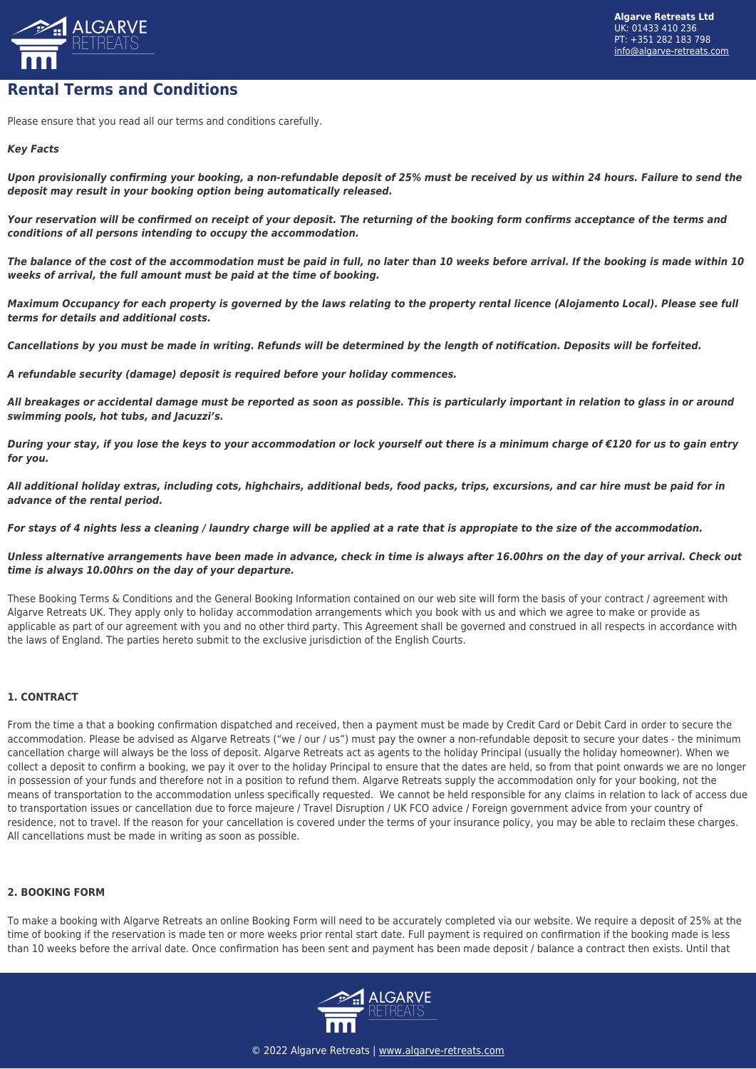

# **Rental Terms and Conditions**

Please ensure that you read all our terms and conditions carefully.

## *Key Facts*

*Upon provisionally confirming your booking, a non-refundable deposit of 25% must be received by us within 24 hours. Failure to send the deposit may result in your booking option being automatically released.*

*Your reservation will be confirmed on receipt of your deposit. The returning of the booking form confirms acceptance of the terms and conditions of all persons intending to occupy the accommodation.*

*The balance of the cost of the accommodation must be paid in full, no later than 10 weeks before arrival. If the booking is made within 10 weeks of arrival, the full amount must be paid at the time of booking.*

*Maximum Occupancy for each property is governed by the laws relating to the property rental licence (Alojamento Local). Please see full terms for details and additional costs.*

*Cancellations by you must be made in writing. Refunds will be determined by the length of notification. Deposits will be forfeited.*

*A refundable security (damage) deposit is required before your holiday commences.*

*All breakages or accidental damage must be reported as soon as possible. This is particularly important in relation to glass in or around swimming pools, hot tubs, and Jacuzzi's.*

*During your stay, if you lose the keys to your accommodation or lock yourself out there is a minimum charge of €120 for us to gain entry for you.*

*All additional holiday extras, including cots, highchairs, additional beds, food packs, trips, excursions, and car hire must be paid for in advance of the rental period.*

*For stays of 4 nights less a cleaning / laundry charge will be applied at a rate that is appropiate to the size of the accommodation.* 

#### *Unless alternative arrangements have been made in advance, check in time is always after 16.00hrs on the day of your arrival. Check out time is always 10.00hrs on the day of your departure.*

These Booking Terms & Conditions and the General Booking Information contained on our web site will form the basis of your contract / agreement with Algarve Retreats UK. They apply only to holiday accommodation arrangements which you book with us and which we agree to make or provide as applicable as part of our agreement with you and no other third party. This Agreement shall be governed and construed in all respects in accordance with the laws of England. The parties hereto submit to the exclusive jurisdiction of the English Courts.

## **1. CONTRACT**

From the time a that a booking confirmation dispatched and received, then a payment must be made by Credit Card or Debit Card in order to secure the accommodation. Please be advised as Algarve Retreats ("we / our / us") must pay the owner a non-refundable deposit to secure your dates - the minimum cancellation charge will always be the loss of deposit. Algarve Retreats act as agents to the holiday Principal (usually the holiday homeowner). When we collect a deposit to confirm a booking, we pay it over to the holiday Principal to ensure that the dates are held, so from that point onwards we are no longer in possession of your funds and therefore not in a position to refund them. Algarve Retreats supply the accommodation only for your booking, not the means of transportation to the accommodation unless specifically requested. We cannot be held responsible for any claims in relation to lack of access due to transportation issues or cancellation due to force majeure / Travel Disruption / UK FCO advice / Foreign government advice from your country of residence, not to travel. If the reason for your cancellation is covered under the terms of your insurance policy, you may be able to reclaim these charges. All cancellations must be made in writing as soon as possible.

#### **2. BOOKING FORM**

To make a booking with Algarve Retreats an online Booking Form will need to be accurately completed via our website. We require a deposit of 25% at the time of booking if the reservation is made ten or more weeks prior rental start date. Full payment is required on confirmation if the booking made is less than 10 weeks before the arrival date. Once confirmation has been sent and payment has been made deposit / balance a contract then exists. Until that

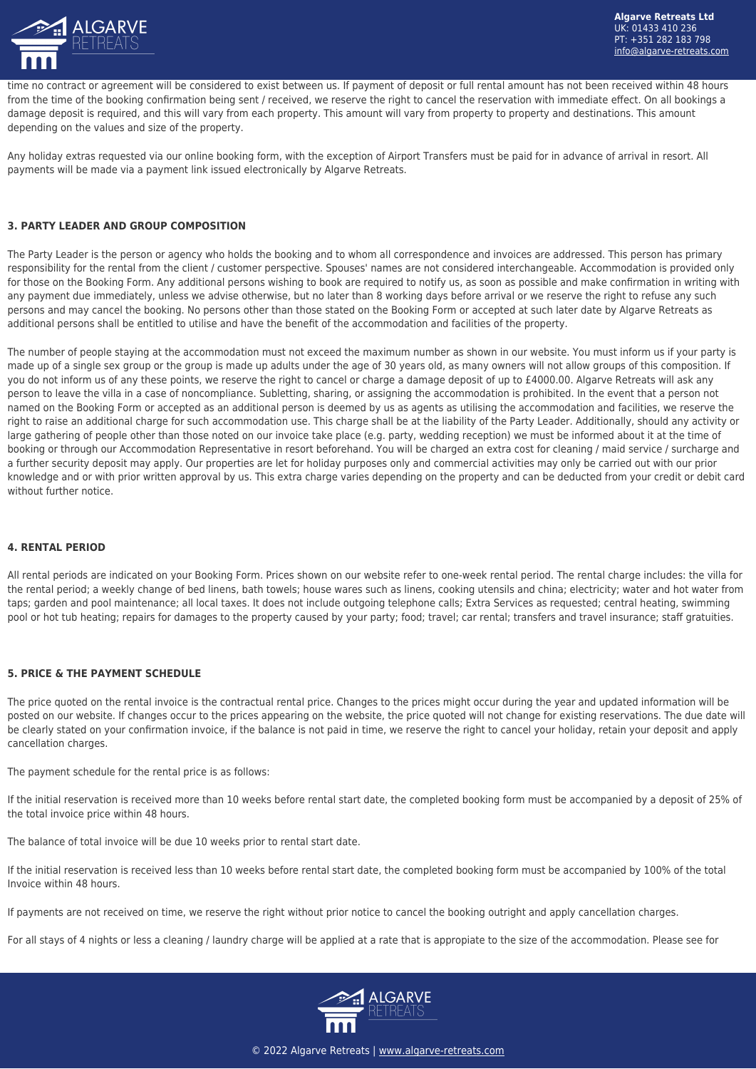

time no contract or agreement will be considered to exist between us. If payment of deposit or full rental amount has not been received within 48 hours from the time of the booking confirmation being sent / received, we reserve the right to cancel the reservation with immediate effect. On all bookings a damage deposit is required, and this will vary from each property. This amount will vary from property to property and destinations. This amount depending on the values and size of the property.

Any holiday extras requested via our online booking form, with the exception of Airport Transfers must be paid for in advance of arrival in resort. All payments will be made via a payment link issued electronically by Algarve Retreats.

## **3. PARTY LEADER AND GROUP COMPOSITION**

The Party Leader is the person or agency who holds the booking and to whom all correspondence and invoices are addressed. This person has primary responsibility for the rental from the client / customer perspective. Spouses' names are not considered interchangeable. Accommodation is provided only for those on the Booking Form. Any additional persons wishing to book are required to notify us, as soon as possible and make confirmation in writing with any payment due immediately, unless we advise otherwise, but no later than 8 working days before arrival or we reserve the right to refuse any such persons and may cancel the booking. No persons other than those stated on the Booking Form or accepted at such later date by Algarve Retreats as additional persons shall be entitled to utilise and have the benefit of the accommodation and facilities of the property.

The number of people staying at the accommodation must not exceed the maximum number as shown in our website. You must inform us if your party is made up of a single sex group or the group is made up adults under the age of 30 years old, as many owners will not allow groups of this composition. If you do not inform us of any these points, we reserve the right to cancel or charge a damage deposit of up to £4000.00. Algarve Retreats will ask any person to leave the villa in a case of noncompliance. Subletting, sharing, or assigning the accommodation is prohibited. In the event that a person not named on the Booking Form or accepted as an additional person is deemed by us as agents as utilising the accommodation and facilities, we reserve the right to raise an additional charge for such accommodation use. This charge shall be at the liability of the Party Leader. Additionally, should any activity or large gathering of people other than those noted on our invoice take place (e.g. party, wedding reception) we must be informed about it at the time of booking or through our Accommodation Representative in resort beforehand. You will be charged an extra cost for cleaning / maid service / surcharge and a further security deposit may apply. Our properties are let for holiday purposes only and commercial activities may only be carried out with our prior knowledge and or with prior written approval by us. This extra charge varies depending on the property and can be deducted from your credit or debit card without further notice.

#### **4. RENTAL PERIOD**

All rental periods are indicated on your Booking Form. Prices shown on our website refer to one-week rental period. The rental charge includes: the villa for the rental period; a weekly change of bed linens, bath towels; house wares such as linens, cooking utensils and china; electricity; water and hot water from taps; garden and pool maintenance; all local taxes. It does not include outgoing telephone calls; Extra Services as requested; central heating, swimming pool or hot tub heating; repairs for damages to the property caused by your party; food; travel; car rental; transfers and travel insurance; staff gratuities.

## **5. PRICE & THE PAYMENT SCHEDULE**

The price quoted on the rental invoice is the contractual rental price. Changes to the prices might occur during the year and updated information will be posted on our website. If changes occur to the prices appearing on the website, the price quoted will not change for existing reservations. The due date will be clearly stated on your confirmation invoice, if the balance is not paid in time, we reserve the right to cancel your holiday, retain your deposit and apply cancellation charges.

The payment schedule for the rental price is as follows:

If the initial reservation is received more than 10 weeks before rental start date, the completed booking form must be accompanied by a deposit of 25% of the total invoice price within 48 hours.

The balance of total invoice will be due 10 weeks prior to rental start date.

If the initial reservation is received less than 10 weeks before rental start date, the completed booking form must be accompanied by 100% of the total Invoice within 48 hours.

If payments are not received on time, we reserve the right without prior notice to cancel the booking outright and apply cancellation charges.

For all stays of 4 nights or less a cleaning / laundry charge will be applied at a rate that is appropiate to the size of the accommodation. Please see for

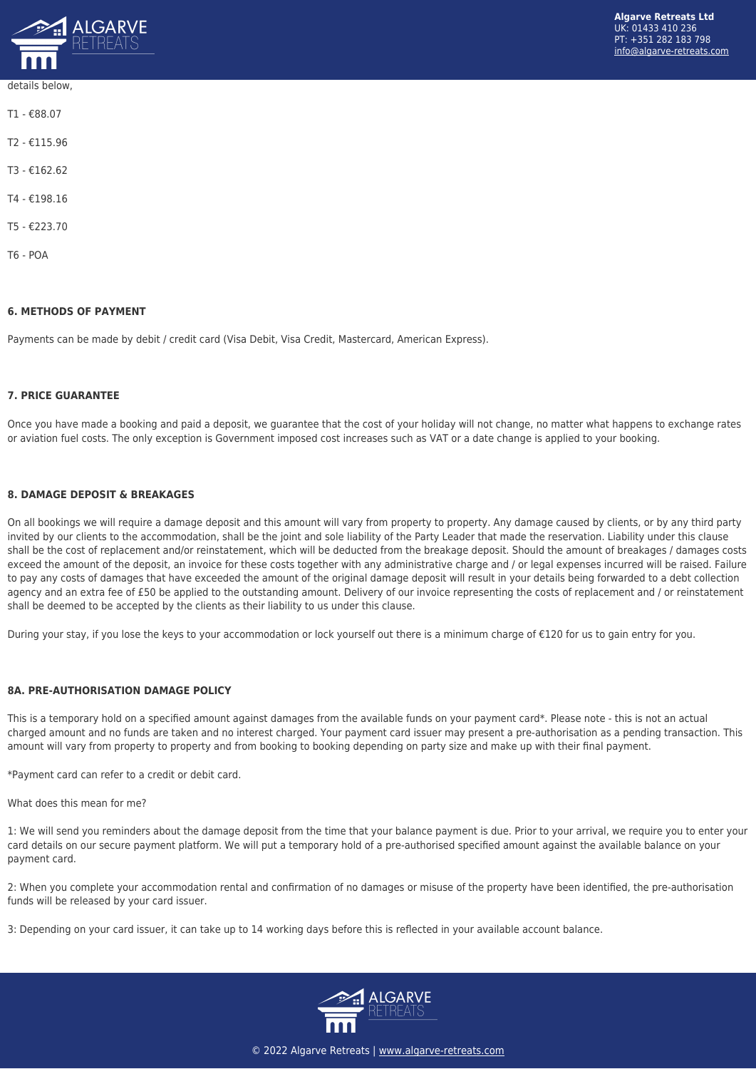

# details below,

T1 - €88.07 T2 - €115.96 T3 - €162.62 T4 - €198.16 T5 - €223.70 T6 - POA

## **6. METHODS OF PAYMENT**

Payments can be made by debit / credit card (Visa Debit, Visa Credit, Mastercard, American Express).

## **7. PRICE GUARANTEE**

Once you have made a booking and paid a deposit, we guarantee that the cost of your holiday will not change, no matter what happens to exchange rates or aviation fuel costs. The only exception is Government imposed cost increases such as VAT or a date change is applied to your booking.

## **8. DAMAGE DEPOSIT & BREAKAGES**

On all bookings we will require a damage deposit and this amount will vary from property to property. Any damage caused by clients, or by any third party invited by our clients to the accommodation, shall be the joint and sole liability of the Party Leader that made the reservation. Liability under this clause shall be the cost of replacement and/or reinstatement, which will be deducted from the breakage deposit. Should the amount of breakages / damages costs exceed the amount of the deposit, an invoice for these costs together with any administrative charge and / or legal expenses incurred will be raised. Failure to pay any costs of damages that have exceeded the amount of the original damage deposit will result in your details being forwarded to a debt collection agency and an extra fee of £50 be applied to the outstanding amount. Delivery of our invoice representing the costs of replacement and / or reinstatement shall be deemed to be accepted by the clients as their liability to us under this clause.

During your stay, if you lose the keys to your accommodation or lock yourself out there is a minimum charge of €120 for us to gain entry for you.

## **8A. PRE-AUTHORISATION DAMAGE POLICY**

This is a temporary hold on a specified amount against damages from the available funds on your payment card\*. Please note - this is not an actual charged amount and no funds are taken and no interest charged. Your payment card issuer may present a pre-authorisation as a pending transaction. This amount will vary from property to property and from booking to booking depending on party size and make up with their final payment.

\*Payment card can refer to a credit or debit card.

What does this mean for me?

1: We will send you reminders about the damage deposit from the time that your balance payment is due. Prior to your arrival, we require you to enter your card details on our secure payment platform. We will put a temporary hold of a pre-authorised specified amount against the available balance on your payment card.

2: When you complete your accommodation rental and confirmation of no damages or misuse of the property have been identified, the pre-authorisation funds will be released by your card issuer.

3: Depending on your card issuer, it can take up to 14 working days before this is reflected in your available account balance.

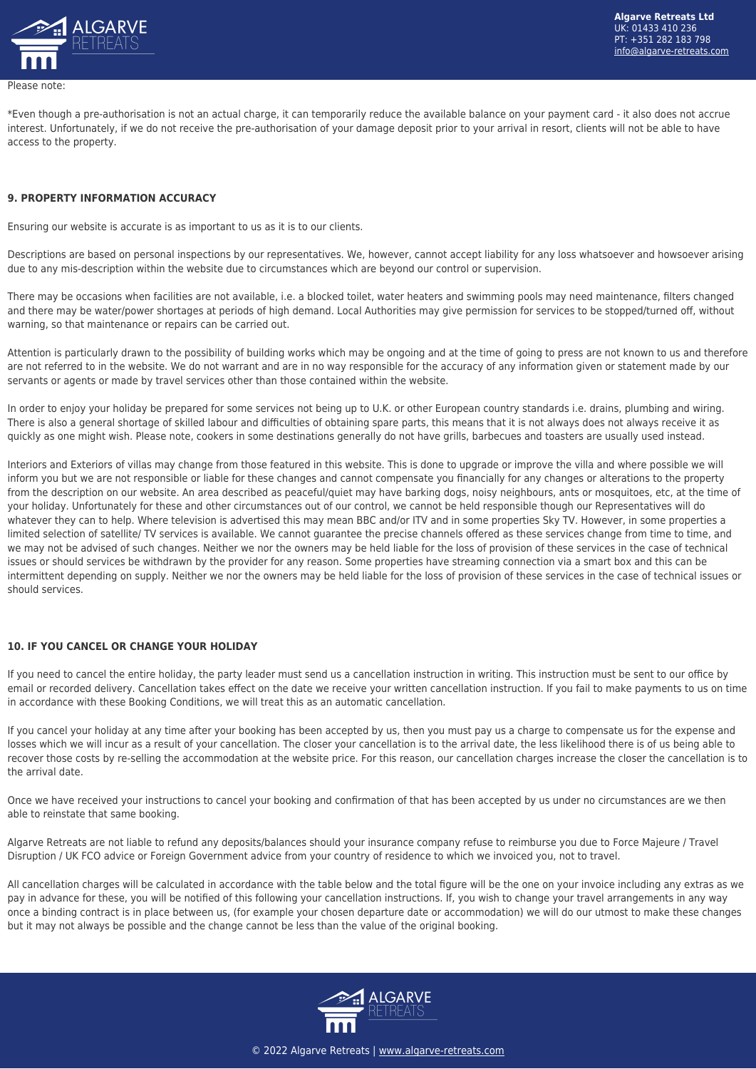

Please note:

\*Even though a pre-authorisation is not an actual charge, it can temporarily reduce the available balance on your payment card - it also does not accrue interest. Unfortunately, if we do not receive the pre-authorisation of your damage deposit prior to your arrival in resort, clients will not be able to have access to the property.

#### **9. PROPERTY INFORMATION ACCURACY**

Ensuring our website is accurate is as important to us as it is to our clients.

Descriptions are based on personal inspections by our representatives. We, however, cannot accept liability for any loss whatsoever and howsoever arising due to any mis-description within the website due to circumstances which are beyond our control or supervision.

There may be occasions when facilities are not available, i.e. a blocked toilet, water heaters and swimming pools may need maintenance, filters changed and there may be water/power shortages at periods of high demand. Local Authorities may give permission for services to be stopped/turned off, without warning, so that maintenance or repairs can be carried out.

Attention is particularly drawn to the possibility of building works which may be ongoing and at the time of going to press are not known to us and therefore are not referred to in the website. We do not warrant and are in no way responsible for the accuracy of any information given or statement made by our servants or agents or made by travel services other than those contained within the website.

In order to enjoy your holiday be prepared for some services not being up to U.K. or other European country standards i.e. drains, plumbing and wiring. There is also a general shortage of skilled labour and difficulties of obtaining spare parts, this means that it is not always does not always receive it as quickly as one might wish. Please note, cookers in some destinations generally do not have grills, barbecues and toasters are usually used instead.

Interiors and Exteriors of villas may change from those featured in this website. This is done to upgrade or improve the villa and where possible we will inform you but we are not responsible or liable for these changes and cannot compensate you financially for any changes or alterations to the property from the description on our website. An area described as peaceful/quiet may have barking dogs, noisy neighbours, ants or mosquitoes, etc, at the time of your holiday. Unfortunately for these and other circumstances out of our control, we cannot be held responsible though our Representatives will do whatever they can to help. Where television is advertised this may mean BBC and/or ITV and in some properties Sky TV. However, in some properties a limited selection of satellite/ TV services is available. We cannot guarantee the precise channels offered as these services change from time to time, and we may not be advised of such changes. Neither we nor the owners may be held liable for the loss of provision of these services in the case of technical issues or should services be withdrawn by the provider for any reason. Some properties have streaming connection via a smart box and this can be intermittent depending on supply. Neither we nor the owners may be held liable for the loss of provision of these services in the case of technical issues or should services.

## **10. IF YOU CANCEL OR CHANGE YOUR HOLIDAY**

If you need to cancel the entire holiday, the party leader must send us a cancellation instruction in writing. This instruction must be sent to our office by email or recorded delivery. Cancellation takes effect on the date we receive your written cancellation instruction. If you fail to make payments to us on time in accordance with these Booking Conditions, we will treat this as an automatic cancellation.

If you cancel your holiday at any time after your booking has been accepted by us, then you must pay us a charge to compensate us for the expense and losses which we will incur as a result of your cancellation. The closer your cancellation is to the arrival date, the less likelihood there is of us being able to recover those costs by re-selling the accommodation at the website price. For this reason, our cancellation charges increase the closer the cancellation is to the arrival date.

Once we have received your instructions to cancel your booking and confirmation of that has been accepted by us under no circumstances are we then able to reinstate that same booking.

Algarve Retreats are not liable to refund any deposits/balances should your insurance company refuse to reimburse you due to Force Majeure / Travel Disruption / UK FCO advice or Foreign Government advice from your country of residence to which we invoiced you, not to travel.

All cancellation charges will be calculated in accordance with the table below and the total figure will be the one on your invoice including any extras as we pay in advance for these, you will be notified of this following your cancellation instructions. If, you wish to change your travel arrangements in any way once a binding contract is in place between us, (for example your chosen departure date or accommodation) we will do our utmost to make these changes but it may not always be possible and the change cannot be less than the value of the original booking.

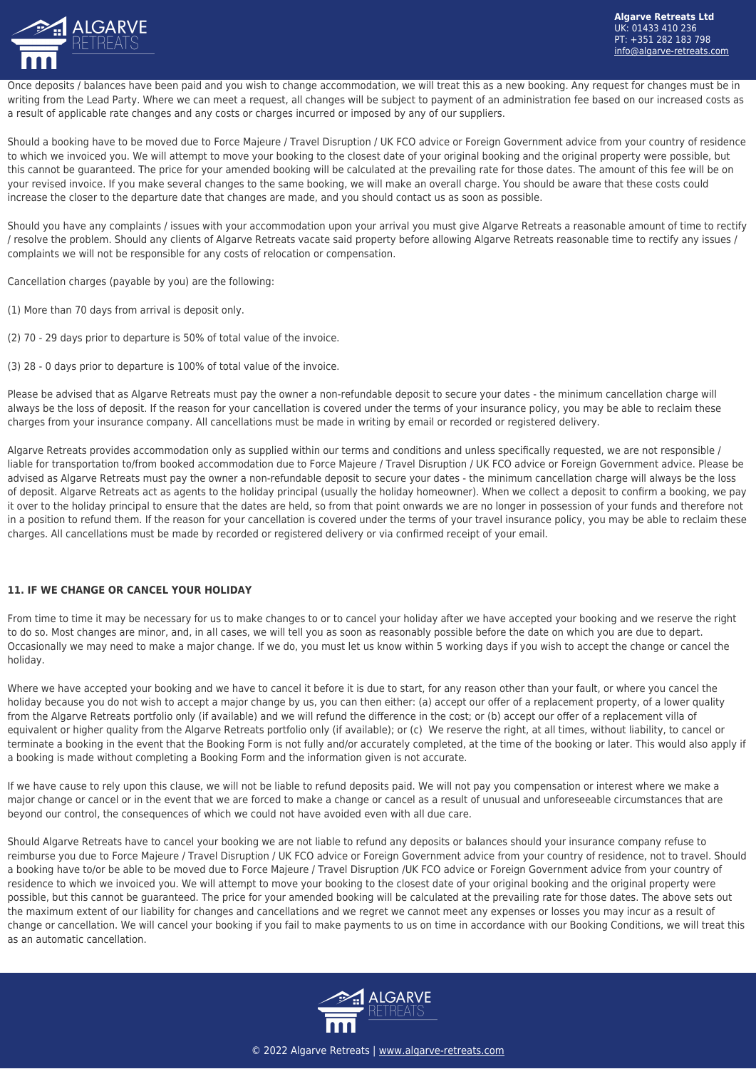

Once deposits / balances have been paid and you wish to change accommodation, we will treat this as a new booking. Any request for changes must be in writing from the Lead Party. Where we can meet a request, all changes will be subject to payment of an administration fee based on our increased costs as a result of applicable rate changes and any costs or charges incurred or imposed by any of our suppliers.

Should a booking have to be moved due to Force Majeure / Travel Disruption / UK FCO advice or Foreign Government advice from your country of residence to which we invoiced you. We will attempt to move your booking to the closest date of your original booking and the original property were possible, but this cannot be guaranteed. The price for your amended booking will be calculated at the prevailing rate for those dates. The amount of this fee will be on your revised invoice. If you make several changes to the same booking, we will make an overall charge. You should be aware that these costs could increase the closer to the departure date that changes are made, and you should contact us as soon as possible.

Should you have any complaints / issues with your accommodation upon your arrival you must give Algarve Retreats a reasonable amount of time to rectify / resolve the problem. Should any clients of Algarve Retreats vacate said property before allowing Algarve Retreats reasonable time to rectify any issues / complaints we will not be responsible for any costs of relocation or compensation.

Cancellation charges (payable by you) are the following:

- (1) More than 70 days from arrival is deposit only.
- (2) 70 29 days prior to departure is 50% of total value of the invoice.

(3) 28 - 0 days prior to departure is 100% of total value of the invoice.

Please be advised that as Algarve Retreats must pay the owner a non-refundable deposit to secure your dates - the minimum cancellation charge will always be the loss of deposit. If the reason for your cancellation is covered under the terms of your insurance policy, you may be able to reclaim these charges from your insurance company. All cancellations must be made in writing by email or recorded or registered delivery.

Algarve Retreats provides accommodation only as supplied within our terms and conditions and unless specifically requested, we are not responsible / liable for transportation to/from booked accommodation due to Force Majeure / Travel Disruption / UK FCO advice or Foreign Government advice. Please be advised as Algarve Retreats must pay the owner a non-refundable deposit to secure your dates - the minimum cancellation charge will always be the loss of deposit. Algarve Retreats act as agents to the holiday principal (usually the holiday homeowner). When we collect a deposit to confirm a booking, we pay it over to the holiday principal to ensure that the dates are held, so from that point onwards we are no longer in possession of your funds and therefore not in a position to refund them. If the reason for your cancellation is covered under the terms of your travel insurance policy, you may be able to reclaim these charges. All cancellations must be made by recorded or registered delivery or via confirmed receipt of your email.

## **11. IF WE CHANGE OR CANCEL YOUR HOLIDAY**

From time to time it may be necessary for us to make changes to or to cancel your holiday after we have accepted your booking and we reserve the right to do so. Most changes are minor, and, in all cases, we will tell you as soon as reasonably possible before the date on which you are due to depart. Occasionally we may need to make a major change. If we do, you must let us know within 5 working days if you wish to accept the change or cancel the holiday.

Where we have accepted your booking and we have to cancel it before it is due to start, for any reason other than your fault, or where you cancel the holiday because you do not wish to accept a major change by us, you can then either: (a) accept our offer of a replacement property, of a lower quality from the Algarve Retreats portfolio only (if available) and we will refund the difference in the cost; or (b) accept our offer of a replacement villa of equivalent or higher quality from the Algarve Retreats portfolio only (if available); or (c) We reserve the right, at all times, without liability, to cancel or terminate a booking in the event that the Booking Form is not fully and/or accurately completed, at the time of the booking or later. This would also apply if a booking is made without completing a Booking Form and the information given is not accurate.

If we have cause to rely upon this clause, we will not be liable to refund deposits paid. We will not pay you compensation or interest where we make a major change or cancel or in the event that we are forced to make a change or cancel as a result of unusual and unforeseeable circumstances that are beyond our control, the consequences of which we could not have avoided even with all due care.

Should Algarve Retreats have to cancel your booking we are not liable to refund any deposits or balances should your insurance company refuse to reimburse you due to Force Majeure / Travel Disruption / UK FCO advice or Foreign Government advice from your country of residence, not to travel. Should a booking have to/or be able to be moved due to Force Majeure / Travel Disruption /UK FCO advice or Foreign Government advice from your country of residence to which we invoiced you. We will attempt to move your booking to the closest date of your original booking and the original property were possible, but this cannot be guaranteed. The price for your amended booking will be calculated at the prevailing rate for those dates. The above sets out the maximum extent of our liability for changes and cancellations and we regret we cannot meet any expenses or losses you may incur as a result of change or cancellation. We will cancel your booking if you fail to make payments to us on time in accordance with our Booking Conditions, we will treat this as an automatic cancellation.

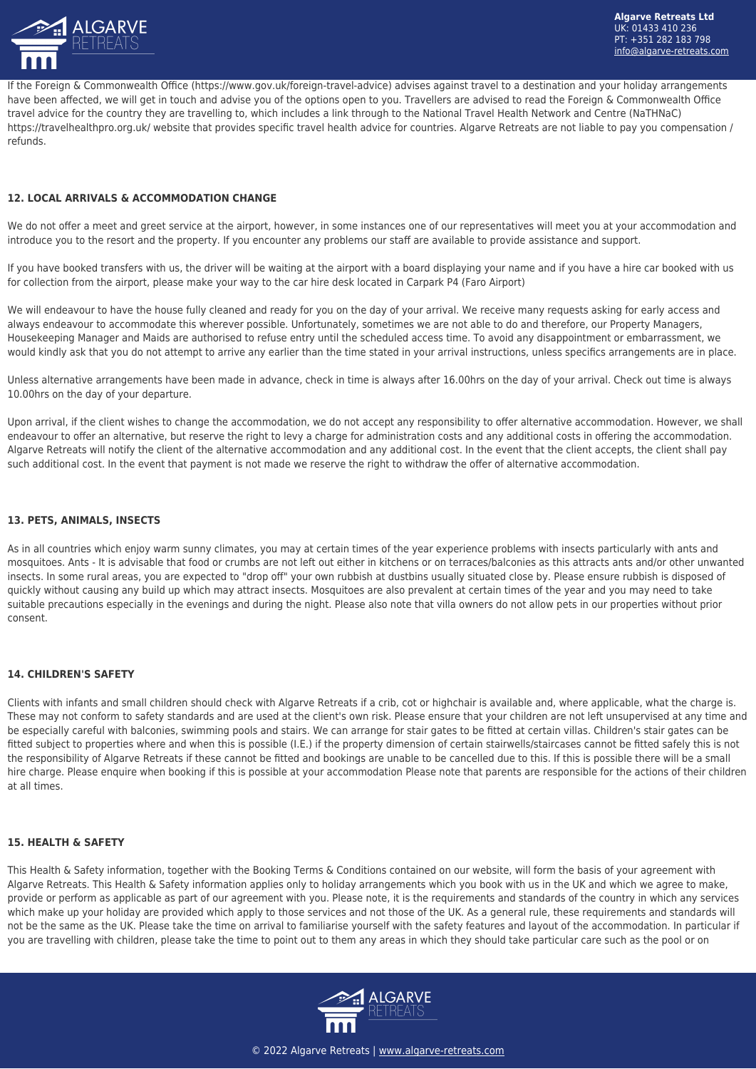

If the Foreign & Commonwealth Office (https://www.gov.uk/foreign-travel-advice) advises against travel to a destination and your holiday arrangements have been affected, we will get in touch and advise you of the options open to you. Travellers are advised to read the Foreign & Commonwealth Office travel advice for the country they are travelling to, which includes a link through to the National Travel Health Network and Centre (NaTHNaC) https://travelhealthpro.org.uk/ website that provides specific travel health advice for countries. Algarve Retreats are not liable to pay you compensation / refunds.

## **12. LOCAL ARRIVALS & ACCOMMODATION CHANGE**

We do not offer a meet and greet service at the airport, however, in some instances one of our representatives will meet you at your accommodation and introduce you to the resort and the property. If you encounter any problems our staff are available to provide assistance and support.

If you have booked transfers with us, the driver will be waiting at the airport with a board displaying your name and if you have a hire car booked with us for collection from the airport, please make your way to the car hire desk located in Carpark P4 (Faro Airport)

We will endeavour to have the house fully cleaned and ready for you on the day of your arrival. We receive many requests asking for early access and always endeavour to accommodate this wherever possible. Unfortunately, sometimes we are not able to do and therefore, our Property Managers, Housekeeping Manager and Maids are authorised to refuse entry until the scheduled access time. To avoid any disappointment or embarrassment, we would kindly ask that you do not attempt to arrive any earlier than the time stated in your arrival instructions, unless specifics arrangements are in place.

Unless alternative arrangements have been made in advance, check in time is always after 16.00hrs on the day of your arrival. Check out time is always 10.00hrs on the day of your departure.

Upon arrival, if the client wishes to change the accommodation, we do not accept any responsibility to offer alternative accommodation. However, we shall endeavour to offer an alternative, but reserve the right to levy a charge for administration costs and any additional costs in offering the accommodation. Algarve Retreats will notify the client of the alternative accommodation and any additional cost. In the event that the client accepts, the client shall pay such additional cost. In the event that payment is not made we reserve the right to withdraw the offer of alternative accommodation.

#### **13. PETS, ANIMALS, INSECTS**

As in all countries which enjoy warm sunny climates, you may at certain times of the year experience problems with insects particularly with ants and mosquitoes. Ants - It is advisable that food or crumbs are not left out either in kitchens or on terraces/balconies as this attracts ants and/or other unwanted insects. In some rural areas, you are expected to "drop off" your own rubbish at dustbins usually situated close by. Please ensure rubbish is disposed of quickly without causing any build up which may attract insects. Mosquitoes are also prevalent at certain times of the year and you may need to take suitable precautions especially in the evenings and during the night. Please also note that villa owners do not allow pets in our properties without prior consent.

## **14. CHILDREN'S SAFETY**

Clients with infants and small children should check with Algarve Retreats if a crib, cot or highchair is available and, where applicable, what the charge is. These may not conform to safety standards and are used at the client's own risk. Please ensure that your children are not left unsupervised at any time and be especially careful with balconies, swimming pools and stairs. We can arrange for stair gates to be fitted at certain villas. Children's stair gates can be fitted subject to properties where and when this is possible (I.E.) if the property dimension of certain stairwells/staircases cannot be fitted safely this is not the responsibility of Algarve Retreats if these cannot be fitted and bookings are unable to be cancelled due to this. If this is possible there will be a small hire charge. Please enquire when booking if this is possible at your accommodation Please note that parents are responsible for the actions of their children at all times.

#### **15. HEALTH & SAFETY**

This Health & Safety information, together with the Booking Terms & Conditions contained on our website, will form the basis of your agreement with Algarve Retreats. This Health & Safety information applies only to holiday arrangements which you book with us in the UK and which we agree to make, provide or perform as applicable as part of our agreement with you. Please note, it is the requirements and standards of the country in which any services which make up your holiday are provided which apply to those services and not those of the UK. As a general rule, these requirements and standards will not be the same as the UK. Please take the time on arrival to familiarise yourself with the safety features and layout of the accommodation. In particular if you are travelling with children, please take the time to point out to them any areas in which they should take particular care such as the pool or on

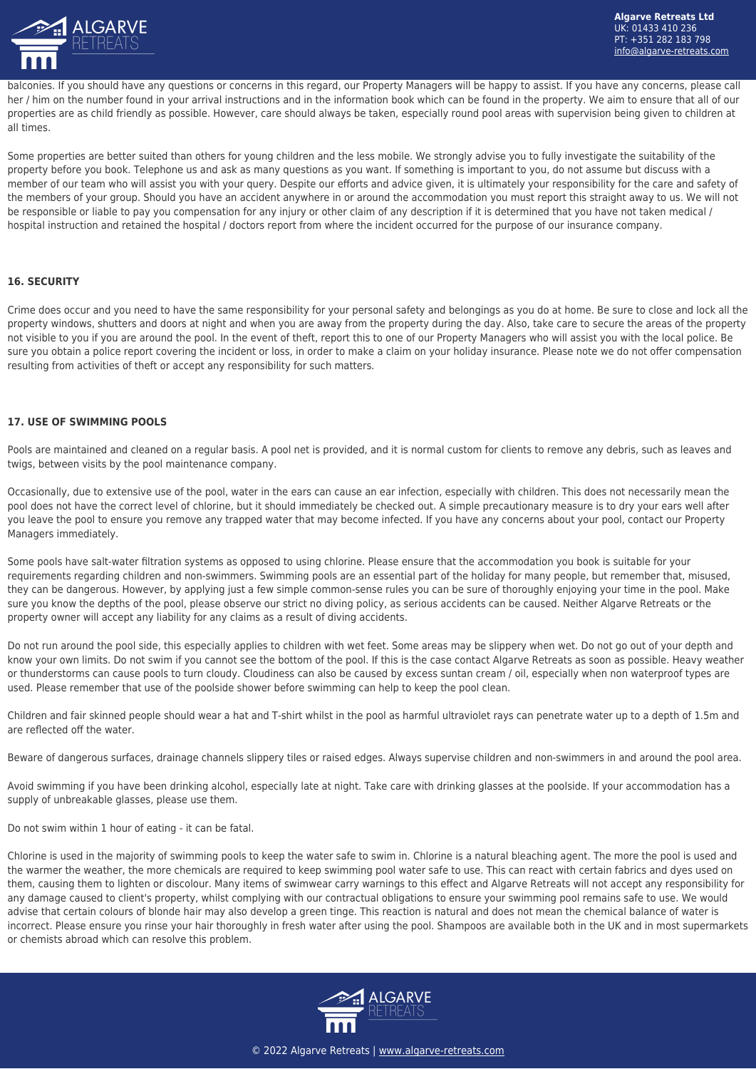

balconies. If you should have any questions or concerns in this regard, our Property Managers will be happy to assist. If you have any concerns, please call her / him on the number found in your arrival instructions and in the information book which can be found in the property. We aim to ensure that all of our properties are as child friendly as possible. However, care should always be taken, especially round pool areas with supervision being given to children at all times.

Some properties are better suited than others for young children and the less mobile. We strongly advise you to fully investigate the suitability of the property before you book. Telephone us and ask as many questions as you want. If something is important to you, do not assume but discuss with a member of our team who will assist you with your query. Despite our efforts and advice given, it is ultimately your responsibility for the care and safety of the members of your group. Should you have an accident anywhere in or around the accommodation you must report this straight away to us. We will not be responsible or liable to pay you compensation for any injury or other claim of any description if it is determined that you have not taken medical / hospital instruction and retained the hospital / doctors report from where the incident occurred for the purpose of our insurance company.

#### **16. SECURITY**

Crime does occur and you need to have the same responsibility for your personal safety and belongings as you do at home. Be sure to close and lock all the property windows, shutters and doors at night and when you are away from the property during the day. Also, take care to secure the areas of the property not visible to you if you are around the pool. In the event of theft, report this to one of our Property Managers who will assist you with the local police. Be sure you obtain a police report covering the incident or loss, in order to make a claim on your holiday insurance. Please note we do not offer compensation resulting from activities of theft or accept any responsibility for such matters.

#### **17. USE OF SWIMMING POOLS**

Pools are maintained and cleaned on a regular basis. A pool net is provided, and it is normal custom for clients to remove any debris, such as leaves and twigs, between visits by the pool maintenance company.

Occasionally, due to extensive use of the pool, water in the ears can cause an ear infection, especially with children. This does not necessarily mean the pool does not have the correct level of chlorine, but it should immediately be checked out. A simple precautionary measure is to dry your ears well after you leave the pool to ensure you remove any trapped water that may become infected. If you have any concerns about your pool, contact our Property Managers immediately.

Some pools have salt-water filtration systems as opposed to using chlorine. Please ensure that the accommodation you book is suitable for your requirements regarding children and non-swimmers. Swimming pools are an essential part of the holiday for many people, but remember that, misused, they can be dangerous. However, by applying just a few simple common-sense rules you can be sure of thoroughly enjoying your time in the pool. Make sure you know the depths of the pool, please observe our strict no diving policy, as serious accidents can be caused. Neither Algarve Retreats or the property owner will accept any liability for any claims as a result of diving accidents.

Do not run around the pool side, this especially applies to children with wet feet. Some areas may be slippery when wet. Do not go out of your depth and know your own limits. Do not swim if you cannot see the bottom of the pool. If this is the case contact Algarve Retreats as soon as possible. Heavy weather or thunderstorms can cause pools to turn cloudy. Cloudiness can also be caused by excess suntan cream / oil, especially when non waterproof types are used. Please remember that use of the poolside shower before swimming can help to keep the pool clean.

Children and fair skinned people should wear a hat and T-shirt whilst in the pool as harmful ultraviolet rays can penetrate water up to a depth of 1.5m and are reflected off the water.

Beware of dangerous surfaces, drainage channels slippery tiles or raised edges. Always supervise children and non-swimmers in and around the pool area.

Avoid swimming if you have been drinking alcohol, especially late at night. Take care with drinking glasses at the poolside. If your accommodation has a supply of unbreakable glasses, please use them.

Do not swim within 1 hour of eating - it can be fatal.

Chlorine is used in the majority of swimming pools to keep the water safe to swim in. Chlorine is a natural bleaching agent. The more the pool is used and the warmer the weather, the more chemicals are required to keep swimming pool water safe to use. This can react with certain fabrics and dyes used on them, causing them to lighten or discolour. Many items of swimwear carry warnings to this effect and Algarve Retreats will not accept any responsibility for any damage caused to client's property, whilst complying with our contractual obligations to ensure your swimming pool remains safe to use. We would advise that certain colours of blonde hair may also develop a green tinge. This reaction is natural and does not mean the chemical balance of water is incorrect. Please ensure you rinse your hair thoroughly in fresh water after using the pool. Shampoos are available both in the UK and in most supermarkets or chemists abroad which can resolve this problem.

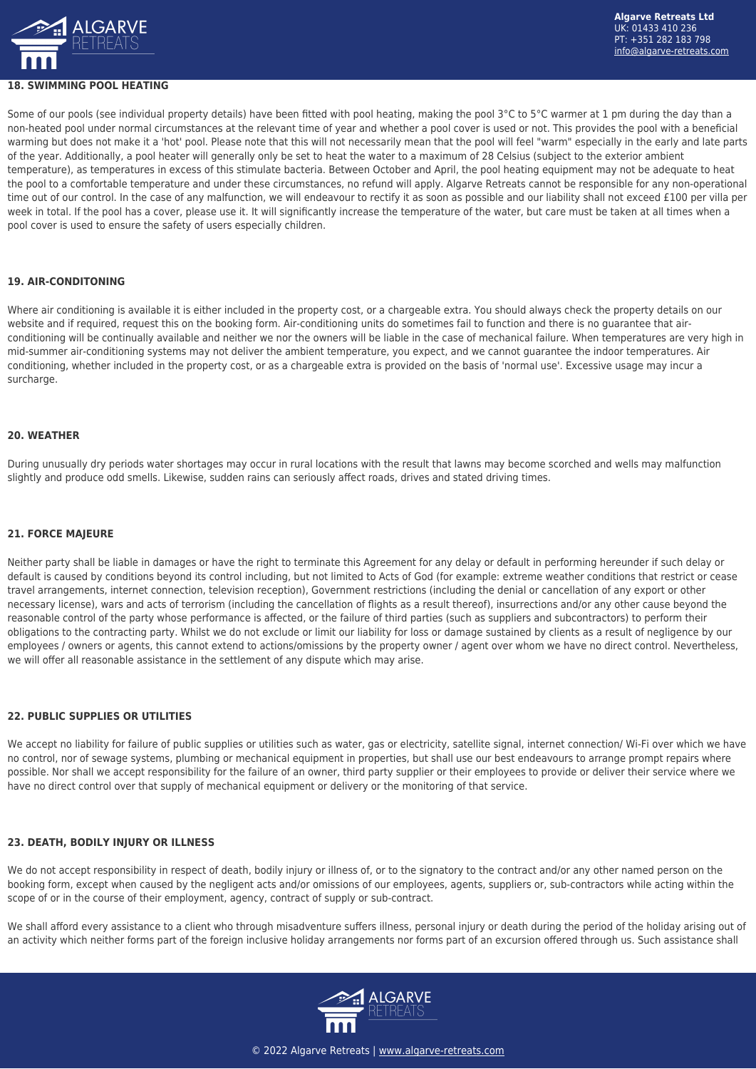

#### **18. SWIMMING POOL HEATING**

Some of our pools (see individual property details) have been fitted with pool heating, making the pool 3°C to 5°C warmer at 1 pm during the day than a non-heated pool under normal circumstances at the relevant time of year and whether a pool cover is used or not. This provides the pool with a beneficial warming but does not make it a 'hot' pool. Please note that this will not necessarily mean that the pool will feel "warm" especially in the early and late parts of the year. Additionally, a pool heater will generally only be set to heat the water to a maximum of 28 Celsius (subject to the exterior ambient temperature), as temperatures in excess of this stimulate bacteria. Between October and April, the pool heating equipment may not be adequate to heat the pool to a comfortable temperature and under these circumstances, no refund will apply. Algarve Retreats cannot be responsible for any non-operational time out of our control. In the case of any malfunction, we will endeavour to rectify it as soon as possible and our liability shall not exceed £100 per villa per week in total. If the pool has a cover, please use it. It will significantly increase the temperature of the water, but care must be taken at all times when a pool cover is used to ensure the safety of users especially children.

#### **19. AIR-CONDITONING**

Where air conditioning is available it is either included in the property cost, or a chargeable extra. You should always check the property details on our website and if required, request this on the booking form. Air-conditioning units do sometimes fail to function and there is no guarantee that airconditioning will be continually available and neither we nor the owners will be liable in the case of mechanical failure. When temperatures are very high in mid-summer air-conditioning systems may not deliver the ambient temperature, you expect, and we cannot guarantee the indoor temperatures. Air conditioning, whether included in the property cost, or as a chargeable extra is provided on the basis of 'normal use'. Excessive usage may incur a surcharge.

#### **20. WEATHER**

During unusually dry periods water shortages may occur in rural locations with the result that lawns may become scorched and wells may malfunction slightly and produce odd smells. Likewise, sudden rains can seriously affect roads, drives and stated driving times.

#### **21. FORCE MAJEURE**

Neither party shall be liable in damages or have the right to terminate this Agreement for any delay or default in performing hereunder if such delay or default is caused by conditions beyond its control including, but not limited to Acts of God (for example: extreme weather conditions that restrict or cease travel arrangements, internet connection, television reception), Government restrictions (including the denial or cancellation of any export or other necessary license), wars and acts of terrorism (including the cancellation of flights as a result thereof), insurrections and/or any other cause beyond the reasonable control of the party whose performance is affected, or the failure of third parties (such as suppliers and subcontractors) to perform their obligations to the contracting party. Whilst we do not exclude or limit our liability for loss or damage sustained by clients as a result of negligence by our employees / owners or agents, this cannot extend to actions/omissions by the property owner / agent over whom we have no direct control. Nevertheless, we will offer all reasonable assistance in the settlement of any dispute which may arise.

#### **22. PUBLIC SUPPLIES OR UTILITIES**

We accept no liability for failure of public supplies or utilities such as water, gas or electricity, satellite signal, internet connection/ Wi-Fi over which we have no control, nor of sewage systems, plumbing or mechanical equipment in properties, but shall use our best endeavours to arrange prompt repairs where possible. Nor shall we accept responsibility for the failure of an owner, third party supplier or their employees to provide or deliver their service where we have no direct control over that supply of mechanical equipment or delivery or the monitoring of that service.

## **23. DEATH, BODILY INJURY OR ILLNESS**

We do not accept responsibility in respect of death, bodily injury or illness of, or to the signatory to the contract and/or any other named person on the booking form, except when caused by the negligent acts and/or omissions of our employees, agents, suppliers or, sub-contractors while acting within the scope of or in the course of their employment, agency, contract of supply or sub-contract.

We shall afford every assistance to a client who through misadventure suffers illness, personal injury or death during the period of the holiday arising out of an activity which neither forms part of the foreign inclusive holiday arrangements nor forms part of an excursion offered through us. Such assistance shall

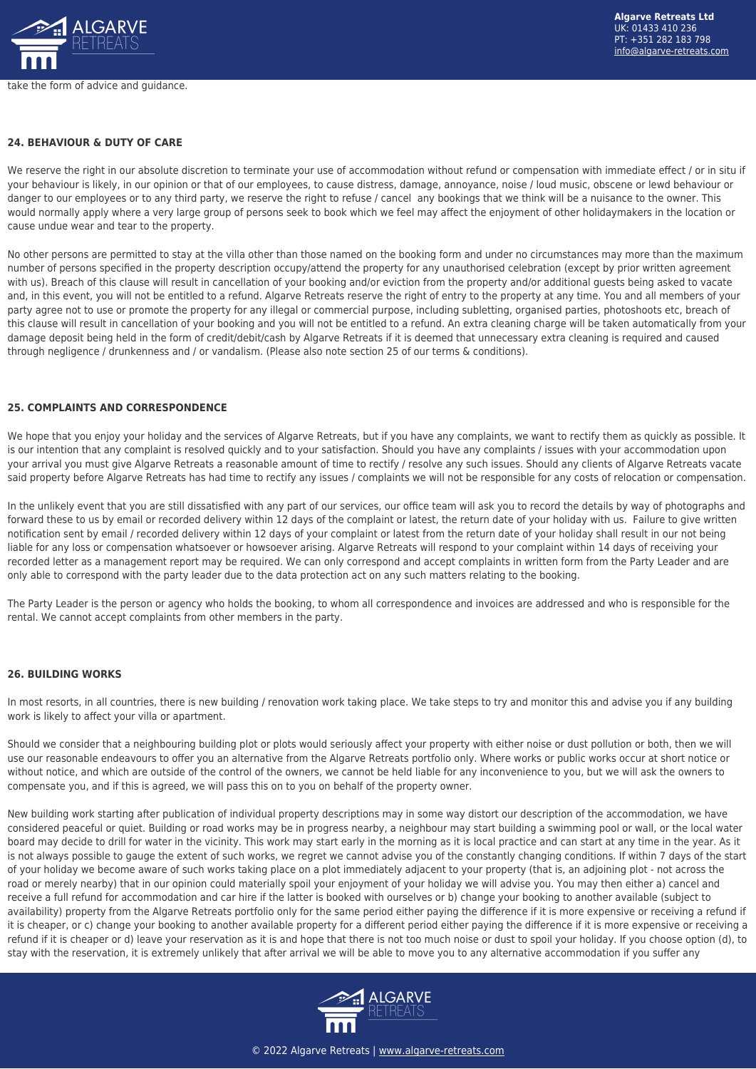

#### **24. BEHAVIOUR & DUTY OF CARE**

We reserve the right in our absolute discretion to terminate your use of accommodation without refund or compensation with immediate effect / or in situ if your behaviour is likely, in our opinion or that of our employees, to cause distress, damage, annoyance, noise / loud music, obscene or lewd behaviour or danger to our employees or to any third party, we reserve the right to refuse / cancel any bookings that we think will be a nuisance to the owner. This would normally apply where a very large group of persons seek to book which we feel may affect the enjoyment of other holidaymakers in the location or cause undue wear and tear to the property.

No other persons are permitted to stay at the villa other than those named on the booking form and under no circumstances may more than the maximum number of persons specified in the property description occupy/attend the property for any unauthorised celebration (except by prior written agreement with us). Breach of this clause will result in cancellation of your booking and/or eviction from the property and/or additional guests being asked to vacate and, in this event, you will not be entitled to a refund. Algarve Retreats reserve the right of entry to the property at any time. You and all members of your party agree not to use or promote the property for any illegal or commercial purpose, including subletting, organised parties, photoshoots etc, breach of this clause will result in cancellation of your booking and you will not be entitled to a refund. An extra cleaning charge will be taken automatically from your damage deposit being held in the form of credit/debit/cash by Algarve Retreats if it is deemed that unnecessary extra cleaning is required and caused through negligence / drunkenness and / or vandalism. (Please also note section 25 of our terms & conditions).

#### **25. COMPLAINTS AND CORRESPONDENCE**

We hope that you enjoy your holiday and the services of Algarve Retreats, but if you have any complaints, we want to rectify them as quickly as possible. It is our intention that any complaint is resolved quickly and to your satisfaction. Should you have any complaints / issues with your accommodation upon your arrival you must give Algarve Retreats a reasonable amount of time to rectify / resolve any such issues. Should any clients of Algarve Retreats vacate said property before Algarve Retreats has had time to rectify any issues / complaints we will not be responsible for any costs of relocation or compensation.

In the unlikely event that you are still dissatisfied with any part of our services, our office team will ask you to record the details by way of photographs and forward these to us by email or recorded delivery within 12 days of the complaint or latest, the return date of your holiday with us. Failure to give written notification sent by email / recorded delivery within 12 days of your complaint or latest from the return date of your holiday shall result in our not being liable for any loss or compensation whatsoever or howsoever arising. Algarve Retreats will respond to your complaint within 14 days of receiving your recorded letter as a management report may be required. We can only correspond and accept complaints in written form from the Party Leader and are only able to correspond with the party leader due to the data protection act on any such matters relating to the booking.

The Party Leader is the person or agency who holds the booking, to whom all correspondence and invoices are addressed and who is responsible for the rental. We cannot accept complaints from other members in the party.

#### **26. BUILDING WORKS**

In most resorts, in all countries, there is new building / renovation work taking place. We take steps to try and monitor this and advise you if any building work is likely to affect your villa or apartment.

Should we consider that a neighbouring building plot or plots would seriously affect your property with either noise or dust pollution or both, then we will use our reasonable endeavours to offer you an alternative from the Algarve Retreats portfolio only. Where works or public works occur at short notice or without notice, and which are outside of the control of the owners, we cannot be held liable for any inconvenience to you, but we will ask the owners to compensate you, and if this is agreed, we will pass this on to you on behalf of the property owner.

New building work starting after publication of individual property descriptions may in some way distort our description of the accommodation, we have considered peaceful or quiet. Building or road works may be in progress nearby, a neighbour may start building a swimming pool or wall, or the local water board may decide to drill for water in the vicinity. This work may start early in the morning as it is local practice and can start at any time in the year. As it is not always possible to gauge the extent of such works, we regret we cannot advise you of the constantly changing conditions. If within 7 days of the start of your holiday we become aware of such works taking place on a plot immediately adjacent to your property (that is, an adjoining plot - not across the road or merely nearby) that in our opinion could materially spoil your enjoyment of your holiday we will advise you. You may then either a) cancel and receive a full refund for accommodation and car hire if the latter is booked with ourselves or b) change your booking to another available (subject to availability) property from the Algarve Retreats portfolio only for the same period either paying the difference if it is more expensive or receiving a refund if it is cheaper, or c) change your booking to another available property for a different period either paying the difference if it is more expensive or receiving a refund if it is cheaper or d) leave your reservation as it is and hope that there is not too much noise or dust to spoil your holiday. If you choose option (d), to stay with the reservation, it is extremely unlikely that after arrival we will be able to move you to any alternative accommodation if you suffer any

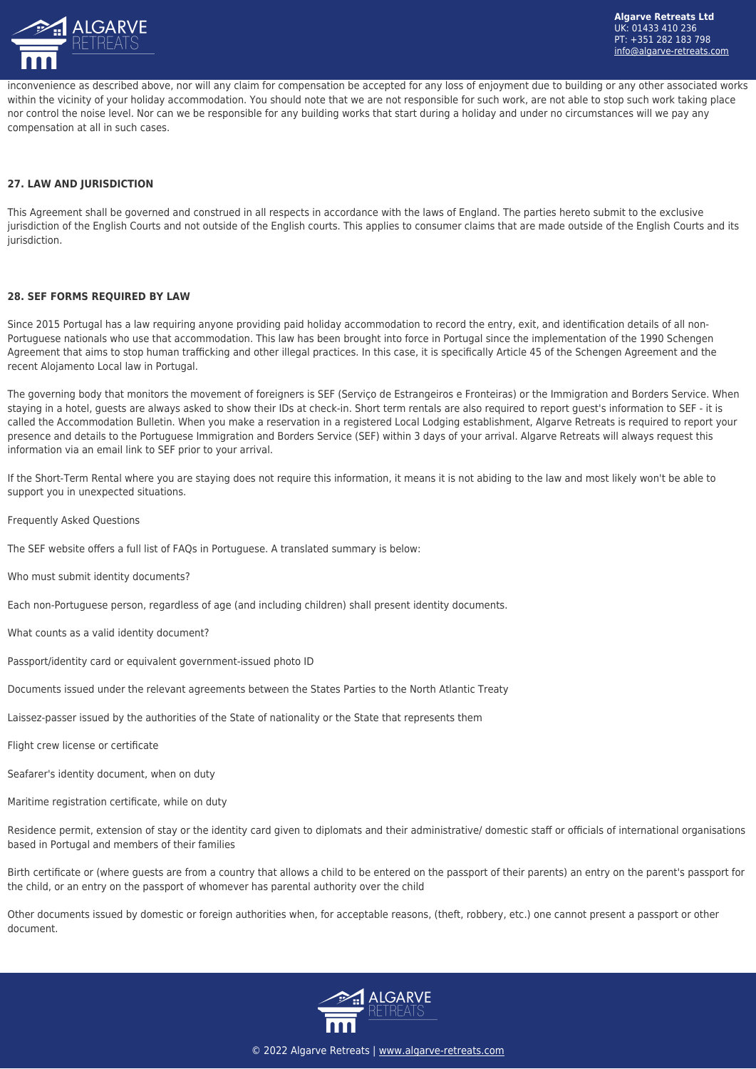

inconvenience as described above, nor will any claim for compensation be accepted for any loss of enjoyment due to building or any other associated works within the vicinity of your holiday accommodation. You should note that we are not responsible for such work, are not able to stop such work taking place nor control the noise level. Nor can we be responsible for any building works that start during a holiday and under no circumstances will we pay any compensation at all in such cases.

## **27. LAW AND JURISDICTION**

This Agreement shall be governed and construed in all respects in accordance with the laws of England. The parties hereto submit to the exclusive jurisdiction of the English Courts and not outside of the English courts. This applies to consumer claims that are made outside of the English Courts and its jurisdiction.

#### **28. SEF FORMS REQUIRED BY LAW**

Since 2015 Portugal has a law requiring anyone providing paid holiday accommodation to record the entry, exit, and identification details of all non-Portuguese nationals who use that accommodation. This law has been brought into force in Portugal since the implementation of the 1990 Schengen Agreement that aims to stop human trafficking and other illegal practices. In this case, it is specifically Article 45 of the Schengen Agreement and the recent Alojamento Local law in Portugal.

The governing body that monitors the movement of foreigners is SEF (Serviço de Estrangeiros e Fronteiras) or the Immigration and Borders Service. When staying in a hotel, guests are always asked to show their IDs at check-in. Short term rentals are also required to report guest's information to SEF - it is called the Accommodation Bulletin. When you make a reservation in a registered Local Lodging establishment, Algarve Retreats is required to report your presence and details to the Portuguese Immigration and Borders Service (SEF) within 3 days of your arrival. Algarve Retreats will always request this information via an email link to SEF prior to your arrival.

If the Short-Term Rental where you are staying does not require this information, it means it is not abiding to the law and most likely won't be able to support you in unexpected situations.

Frequently Asked Questions

The SEF website offers a full list of FAQs in Portuguese. A translated summary is below:

Who must submit identity documents?

Each non-Portuguese person, regardless of age (and including children) shall present identity documents.

What counts as a valid identity document?

Passport/identity card or equivalent government-issued photo ID

Documents issued under the relevant agreements between the States Parties to the North Atlantic Treaty

Laissez-passer issued by the authorities of the State of nationality or the State that represents them

Flight crew license or certificate

Seafarer's identity document, when on duty

Maritime registration certificate, while on duty

Residence permit, extension of stay or the identity card given to diplomats and their administrative/ domestic staff or officials of international organisations based in Portugal and members of their families

Birth certificate or (where guests are from a country that allows a child to be entered on the passport of their parents) an entry on the parent's passport for the child, or an entry on the passport of whomever has parental authority over the child

Other documents issued by domestic or foreign authorities when, for acceptable reasons, (theft, robbery, etc.) one cannot present a passport or other document.